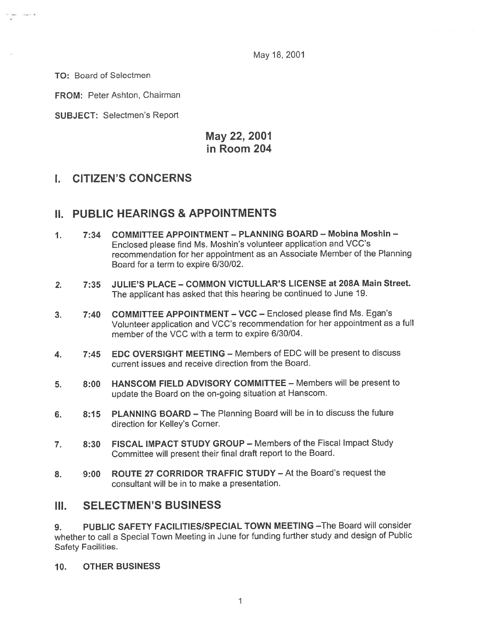May 18, 2001

TO: Board of Selectmen

FROM: Peter Ashton, Chairman

SUBJECT: Selectmen's Report

# May 22, 2001 in Room 204

## I. CITIZEN'S CONCERNS

## II. PUBLIC HEARINGS & APPOINTMENTS

- 1. 7:34 COMMITTEE APPOINTMENT PLANNING BOARD Mobina Moshin Enclosed <sup>p</sup>lease find Ms. Moshin's volunteer application and VCC's recommendation for her appointment as an Associate Member of the Planning Board for <sup>a</sup> term to expire 6/30/02.
- 2. 7:35 JULIE'S PLACE COMMON VICTULLAR'S LICENSE at 208A Main Street. The applicant has asked that this hearing be continued to June 19.
- 3. 7:40 COMMITTEE APPOINTMENT VCC Enclosed please find Ms. Egan's Volunteer application and VCC's recommendation for her appointment as <sup>a</sup> full member of the VCC with <sup>a</sup> term to expire 6/30/04.
- 4. 7:45 EDC OVERSIGHT MEETING Members of EDC will be present to discuss current issues and receive direction from the Board.
- 5. 8:00 HANSCOM FIELD ADVISORY COMMITTEE Members will be presen<sup>t</sup> to update the Board on the on-going situation at Hanscom.
- 6. 8:15 PLANNING BOARD The Planning Board will be in to discuss the future direction for Kelley's Corner.
- 7. 8:30 FISCAL IMPACT STUDY GROUP Members of the Fiscal Impact Study Committee will presen<sup>t</sup> their final draft repor<sup>t</sup> to the Board.
- 8. 9:00 ROUTE 27 CORRIDOR TRAFFIC STUDY At the Board's reques<sup>t</sup> the consultant will be in to make <sup>a</sup> presentation.

## III. SELECTMEN'S BUSINESS

9. PUBLIC SAFETY FACILITIES/SPECIAL TOWN MEETING - The Board will consider whether to call <sup>a</sup> Special Town Meeting in June for funding further study and design of Public Safety Facilities.

10. OTHER BUSINESS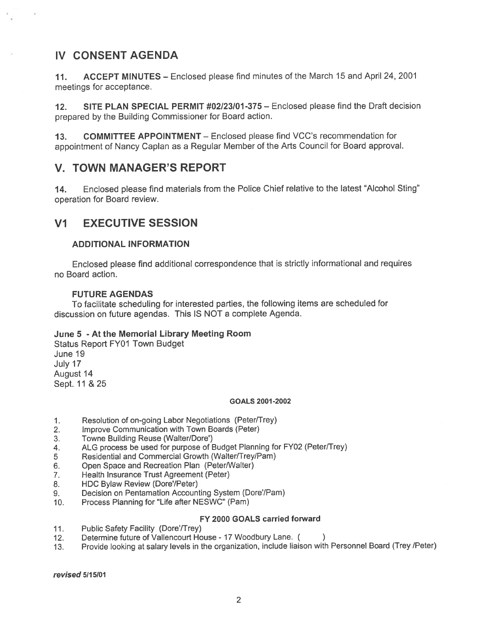# IV CONSENT AGENDA

11. ACCEPT MINUTES — Enclosed please find minutes of the March 15 and April 24, 2001 meetings for acceptance.

12. SITE PLAN SPECIAL PERMIT #02/23/01-375 — Enclosed please find the Draft decision prepared by the Building Commissioner for Board action.

13. COMMITTEE APPOINTMENT — Enclosed please find VCC's recommendation for appointment of Nancy Caplan as <sup>a</sup> Regular Member of the Arts Council for Board approval.

## V. TOWN MANAGER'S REPORT

14. Enclosed please find materials from the Police Chief relative to the latest "Alcohol Sting" operation for Board review.

## VI EXECUTIVE SESSION

#### ADDITIONAL INFORMATION

Enclosed <sup>p</sup>lease find additional correspondence that is strictly informational and requires no Board action.

#### FUTURE AGENDAS

To facilitate scheduling for interested parties, the following items are scheduled for discussion on future agendas. This IS NOT <sup>a</sup> complete Agenda.

#### June 5 - At the Memorial Library Meeting Room

Status Report FY01 Town Budget June 19 July 17 August 14 Sept. 11 & 25

#### GOALS 2001-2002

- 1. Resolution of on-going Labor Negotiations (Peter/Trey)
- 2. Improve Communication with Town Boards (Peter)
- 3. Towne Building Reuse (Walter/Dore')
- 4. ALG process be used for purpose of Budget Planning for FY02 (Peter/Trey)
- 5 Residential and Commercial Growth (Walter/Trey/Pam)
- 6. Open Space and Recreation Plan (Peter/Walter)
- 7. Health Insurance Trust Agreement (Peter)
- 8. HDC Bylaw Review (Dore'/Peter)
- 9. Decision on Pentamation Accounting System (Dore/Pam)
- 10. Process Planning for "Life after NESWC" (Pam)

#### FY 2000 GOALS carried forward

- 11. Public Safety Facility (Dore'/Trey)
- 12. Determine future of Vallencourt House <sup>17</sup> Woodbury Lane. (
- 13. Provide looking at salary levels in the organization, include liaison with Personnel Board (Trey /Peter)

revised 5115101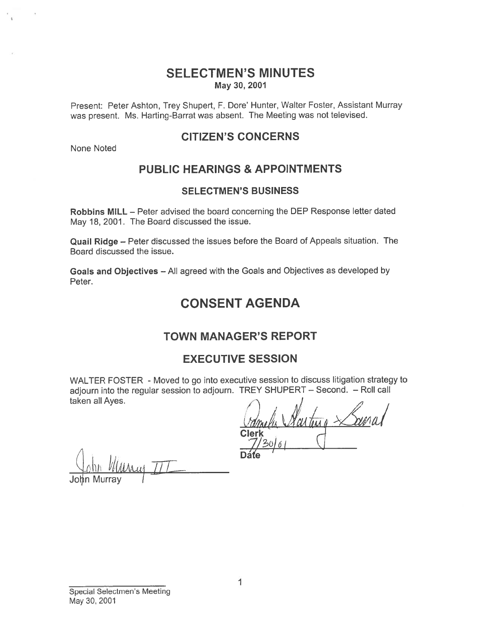## SELECTMEN'S MINUTES May 30, 2001

Present: Peter Ashton, Trey Shupert, F. Dore' Hunter, Walter Foster, Assistant Murray was present. Ms. Harting-Barrat was absent. The Meeting was not televised.

## CITIZEN'S CONCERNS

None Noted

# PUBLIC HEARINGS & APPOINTMENTS

### SELECTMEN'S BUSINESS

Robbins MILL — Peter advised the board concerning the DEP Response letter dated May 18, 2001. The Board discussed the issue.

Quail Ridge — Peter discussed the issues before the Board of Appeals situation. The Board discussed the issue.

Goals and Objectives — All agree<sup>d</sup> with the Goals and Objectives as developed by Peter.

# CONSENT AGENDA

## TOWN MANAGER'S REPORT

## EXECUTIVE SESSION

WALTER FOSTER - Moved to go into executive session to discuss litigation strategy to adjourn into the regular session to adjourn. TREY SHUPERT — Second. — Roll call taken all Ayes. Present: Peter Ashton,<br>
was present. Ms. Hartin<br>
None Noted<br> **PUBI**<br>
Robbins MILL – Peter as<br>
May 18, 2001. The Boar<br>
Quail Ridge – Peter dise<br>
Goals and Objectives –<br>
Peter.<br>
MALTER FOSTER - Me<br>
adjourn into the regular s

arten **Clerk**<br>1/3٥/٥

 $\cdots$  $\lim$  *William*  $\pi$ 

Special Selectmen's Meeting May 30, 2001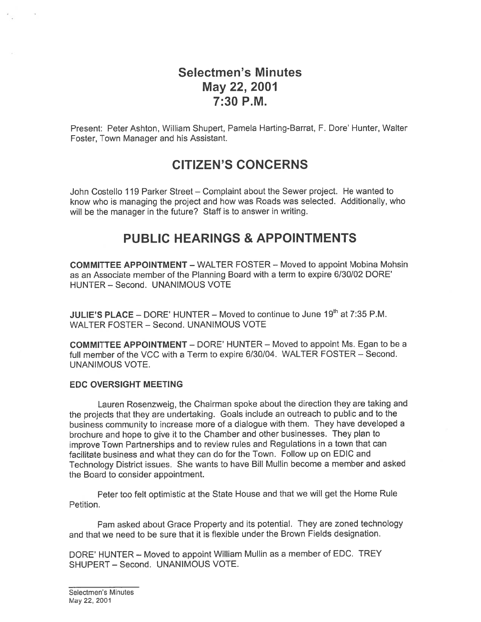# Selectmen's Minutes May 22, 2001 7:30 P.M.

Present: Peter Ashton, William Shupert, Pamela Harting-Barrat, F. Dote' Hunter, Walter Foster, Town Manager and his Assistant.

# CITIZEN'S CONCERNS

John Costello 119 Parker Street — Complaint about the Sewer project. He wanted to know who is managing the project and how was Roads was selected. Additionally, who will be the manager in the future? Staff is to answer in writing.

# PUBLIC HEARINGS & APPOINTMENTS

COMMITTEE APPOINTMENT — WALTER FOSTER — Moved to appoint Mobina Mohsin as an Associate member of the Planning Board with <sup>a</sup> term to expire 6/30/02 DORE' HUNTER — Second. UNANIMOUS VOTE

JULIE'S PLACE – DORE' HUNTER – Moved to continue to June  $19<sup>th</sup>$  at 7:35 P.M. WALTER FOSTER — Second. UNANIMOUS VOTE

COMMITTEE APPOINTMENT — DORE' HUNTER — Moved to appoint Ms. Egan to be <sup>a</sup> full member of the VCC with <sup>a</sup> Term to expire 6/30/04. WALTER FOSTER — Second. UNANIMOUS VOTE.

### EDC OVERSIGHT MEETING

Lauren Rosenzweig, the Chairman spoke about the direction they are taking and the projects that they are undertaking. Goals include an outreach to public and to the business community to increase more of <sup>a</sup> dialogue with them. They have developed <sup>a</sup> brochure and hope to <sup>g</sup>ive it to the Chamber and other businesses. They <sup>p</sup>lan to improve Town Partnerships and to review rules and Regulations in <sup>a</sup> town that can facilitate business and what they can do for the Town. Follow up on EDIC and Technology District issues. She wants to have Bill Mullin become <sup>a</sup> member and asked the Board to consider appointment.

Peter too felt optimistic at the State House and that we will ge<sup>t</sup> the Home Rule Petition.

Pam asked about Grace Property and its potential. They are zoned technology and that we need to be sure that it is flexible under the Brown Fields designation.

DORE' HUNTER — Moved to appoint William Mullin as <sup>a</sup> member of EDC. TREY SHUPERT — Second. UNANIMOUS VOTE.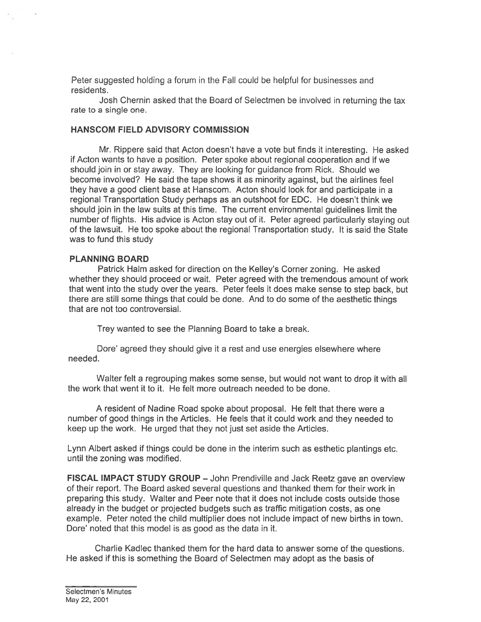Peter suggested holding <sup>a</sup> forum in the Fall could be helpful for businesses and residents.

Josh Chetnin asked that the Board of Selectmen be involved in returning the tax rate to <sup>a</sup> single one.

### HANSCOM FIELD ADVISORY COMMISSION

Mr. Rippere said that Acton doesn't have <sup>a</sup> vote but finds it interesting. He asked if Acton wants to have <sup>a</sup> position. Peter spoke about regional cooperation and if we should join in or stay away. They are looking for guidance from Rick. Should we become involved? He said the tape shows it as minority against, but the airlines feel they have <sup>a</sup> good client base at Hanscom. Acton should look for and participate in <sup>a</sup> regional Transportation Study perhaps as an outshoot for EDC. He doesn't think we should join in the law suits at this time. The current environmental guidelines limit the number of flights. His advice is Acton stay out of it. Peter agreed particularly staying out of the lawsuit. He too spoke about the regional Transportation study. It is said the State was to fund this study

#### PLANNING BOARD

Patrick Halm asked for direction on the Kelley's Corner zoning. He asked whether they should proceed or wait. Peter agreed with the tremendous amount of work that went into the study over the years. Peter feels it does make sense to step back, but there are still some things that could be done. And to do some of the aesthetic things that are not too controversial.

Trey wanted to see the Planning Board to take <sup>a</sup> break.

Dore' agreed they should give it a rest and use energies elsewhere where needed.

Walter felt <sup>a</sup> regrouping makes some sense, but would not want to drop it with all the work that went it to it. He felt more outreach needed to be done.

A resident of Nadine Road spoke about proposal. He felt that there were <sup>a</sup> number of good things in the Articles. He feels that it could work and they needed to keep up the work. He urged that they not just set aside the Articles.

Lynn Albert asked if things could be done in the interim such as esthetic <sup>p</sup>lantings etc. until the zoning was modified.

FISCAL IMPACT STUDY GROUP — John Prendiville and Jack Reetz gave an overview of their report. The Board asked several questions and thanked them for their work in preparing this study. Walter and Peer note that it does not include costs outside those already in the budget or projected budgets such as traffic mitigation costs, as one example. Peter noted the child multiplier does not include impact of new births in town. Dore' noted that this model is as good as the data in it.

Charlie Kadlec thanked them for the hard data to answer some of the questions. He asked if this is something the Board of Selectmen may adopt as the basis of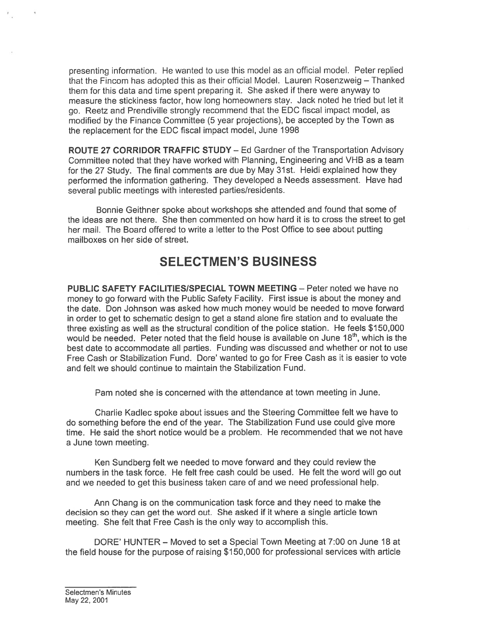presenting information. He wanted to use this model as an official model. Peter replied that the Fincom has adopted this as their official Model. Lauren Rosenzweig — Thanked them for this data and time spen<sup>t</sup> preparing it. She asked if there were anyway to measure the stickiness factor, how long homeowners stay. Jack noted he tried but let it go. Reetz and Prendiville strongly recommend that the EDO fiscal impact model, as modified by the Finance Committee (5 year projections), be accepted by the Town as the replacement for the EDO fiscal impact model, June 1998

ROUTE 27 CORRIDOR TRAFFIC STUDY — Ed Gardner of the Transportation Advisory Committee noted that they have worked with Planning, Engineering and VHB as <sup>a</sup> team for the 27 Study. The final comments are due by May 31st. Heidi explained how they performed the information gathering. They developed a Needs assessment. Have had several public meetings with interested parties/residents.

Bonnie Geithner spoke about workshops she attended and found that some of the ideas are not there. She then commented on how hard it is to cross the street to ge<sup>t</sup> her mail. The Board offered to write <sup>a</sup> letter to the Post Office to see about putting mailboxes on her side of street.

# SELECTMEN'S BUSINESS

PUBLIC SAFETY FACILITIES/SPECIAL TOWN MEETING - Peter noted we have no money to go forward with the Public Safety Facility. First issue is about the money and the date. Don Johnson was asked how much money would be needed to move forward in order to ge<sup>t</sup> to schematic design to ge<sup>t</sup> <sup>a</sup> stand alone fire station and to evaluate the three existing as well as the structural condition of the police station. He feels \$150,000 would be needed. Peter noted that the field house is available on June 18<sup>th</sup>, which is the best date to accommodate all parties. Funding was discussed and whether or not to use Free Cash or Stabilization Fund. Dore' wanted to go for Free Cash as it is easier to vote and felt we should continue to maintain the Stabilization Fund.

Pam noted she is concerned with the attendance at town meeting in June.

Charlie Kadlec spoke about issues and the Steering Committee felt we have to do something before the end of the year. The Stabilization Fund use could give more time. He said the short notice would be <sup>a</sup> problem. He recommended that we not have <sup>a</sup> June town meeting.

Ken Sundberg felt we needed to move forward and they could review the numbers in the task force. He felt free cash could be used. He felt the word will go out and we needed to ge<sup>t</sup> this business taken care of and we need professional help.

Ann Chang is on the communication task force and they need to make the decision so they can ge<sup>t</sup> the word out. She asked if it where <sup>a</sup> single article town meeting. She felt that Free Cash is the only way to accomplish this.

DORE' HUNTER — Moved to set <sup>a</sup> Special Town Meeting at 7:00 on June 18 at the field house for the purpose of raising \$150,000 for professional services with article